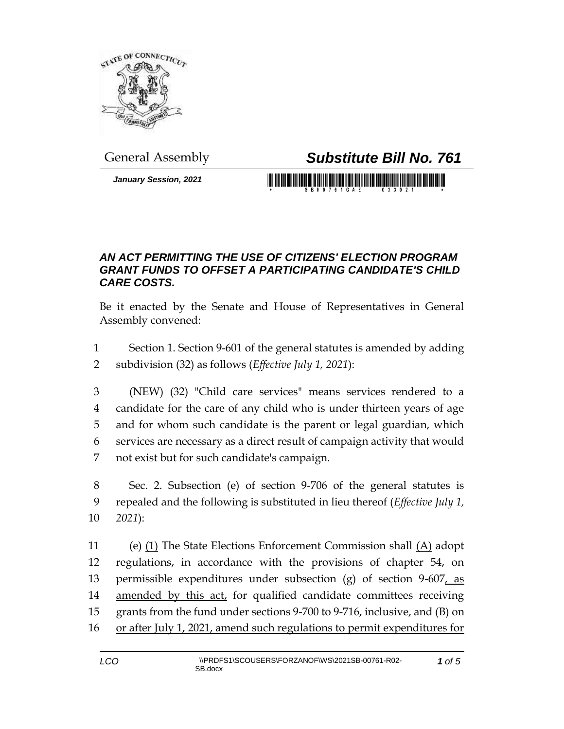

## General Assembly *Substitute Bill No. 761*

*January Session, 2021*

<u> 1989 - Johann Maria Maria Maria Maria Maria Maria Maria Maria Maria Maria Maria Maria Maria Maria Maria Maria</u>

## *AN ACT PERMITTING THE USE OF CITIZENS' ELECTION PROGRAM GRANT FUNDS TO OFFSET A PARTICIPATING CANDIDATE'S CHILD CARE COSTS.*

Be it enacted by the Senate and House of Representatives in General Assembly convened:

- 1 Section 1. Section 9-601 of the general statutes is amended by adding 2 subdivision (32) as follows (*Effective July 1, 2021*):
- 3 (NEW) (32) "Child care services" means services rendered to a 4 candidate for the care of any child who is under thirteen years of age 5 and for whom such candidate is the parent or legal guardian, which 6 services are necessary as a direct result of campaign activity that would 7 not exist but for such candidate's campaign.
- 8 Sec. 2. Subsection (e) of section 9-706 of the general statutes is 9 repealed and the following is substituted in lieu thereof (*Effective July 1,*  10 *2021*):
- 11 (e)  $(1)$  The State Elections Enforcement Commission shall  $(A)$  adopt 12 regulations, in accordance with the provisions of chapter 54, on 13 permissible expenditures under subsection  $(g)$  of section 9-607, as 14 amended by this act, for qualified candidate committees receiving 15 grants from the fund under sections 9-700 to 9-716, inclusive, and (B) on 16 or after July 1, 2021, amend such regulations to permit expenditures for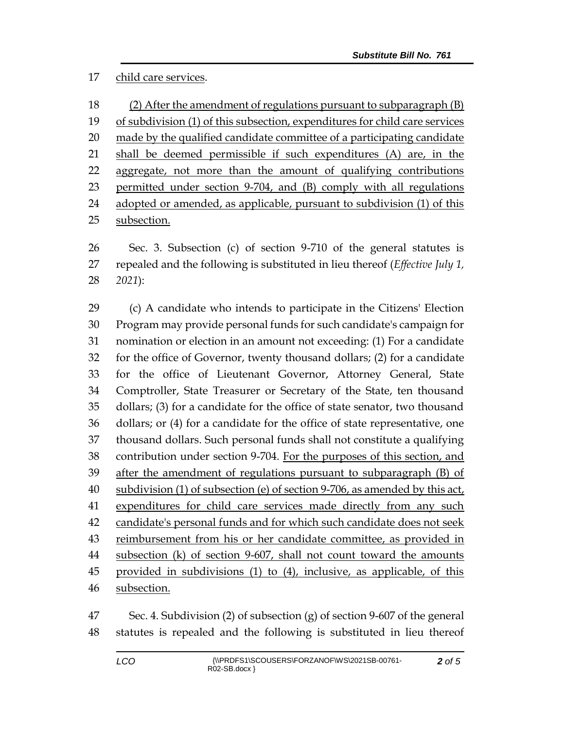## child care services.

 (2) After the amendment of regulations pursuant to subparagraph (B) of subdivision (1) of this subsection, expenditures for child care services made by the qualified candidate committee of a participating candidate shall be deemed permissible if such expenditures (A) are, in the aggregate, not more than the amount of qualifying contributions permitted under section 9-704, and (B) comply with all regulations adopted or amended, as applicable, pursuant to subdivision (1) of this subsection.

 Sec. 3. Subsection (c) of section 9-710 of the general statutes is repealed and the following is substituted in lieu thereof (*Effective July 1, 2021*):

 (c) A candidate who intends to participate in the Citizens' Election Program may provide personal funds for such candidate's campaign for nomination or election in an amount not exceeding: (1) For a candidate for the office of Governor, twenty thousand dollars; (2) for a candidate for the office of Lieutenant Governor, Attorney General, State Comptroller, State Treasurer or Secretary of the State, ten thousand dollars; (3) for a candidate for the office of state senator, two thousand dollars; or (4) for a candidate for the office of state representative, one thousand dollars. Such personal funds shall not constitute a qualifying contribution under section 9-704. For the purposes of this section, and after the amendment of regulations pursuant to subparagraph (B) of subdivision (1) of subsection (e) of section 9-706, as amended by this act, expenditures for child care services made directly from any such candidate's personal funds and for which such candidate does not seek reimbursement from his or her candidate committee, as provided in subsection (k) of section 9-607, shall not count toward the amounts provided in subdivisions (1) to (4), inclusive, as applicable, of this subsection.

 Sec. 4. Subdivision (2) of subsection (g) of section 9-607 of the general statutes is repealed and the following is substituted in lieu thereof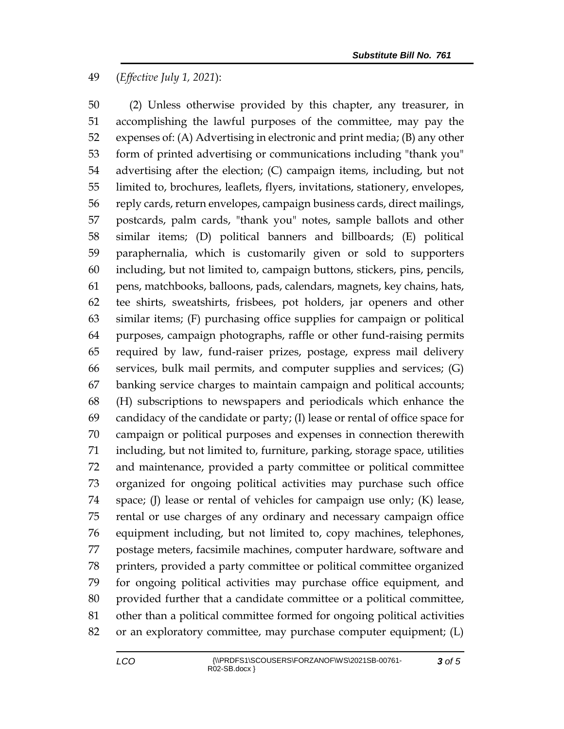## (*Effective July 1, 2021*):

 (2) Unless otherwise provided by this chapter, any treasurer, in accomplishing the lawful purposes of the committee, may pay the expenses of: (A) Advertising in electronic and print media; (B) any other form of printed advertising or communications including "thank you" advertising after the election; (C) campaign items, including, but not limited to, brochures, leaflets, flyers, invitations, stationery, envelopes, reply cards, return envelopes, campaign business cards, direct mailings, postcards, palm cards, "thank you" notes, sample ballots and other similar items; (D) political banners and billboards; (E) political paraphernalia, which is customarily given or sold to supporters including, but not limited to, campaign buttons, stickers, pins, pencils, pens, matchbooks, balloons, pads, calendars, magnets, key chains, hats, tee shirts, sweatshirts, frisbees, pot holders, jar openers and other similar items; (F) purchasing office supplies for campaign or political purposes, campaign photographs, raffle or other fund-raising permits required by law, fund-raiser prizes, postage, express mail delivery services, bulk mail permits, and computer supplies and services; (G) banking service charges to maintain campaign and political accounts; (H) subscriptions to newspapers and periodicals which enhance the candidacy of the candidate or party; (I) lease or rental of office space for campaign or political purposes and expenses in connection therewith including, but not limited to, furniture, parking, storage space, utilities and maintenance, provided a party committee or political committee organized for ongoing political activities may purchase such office space; (J) lease or rental of vehicles for campaign use only; (K) lease, rental or use charges of any ordinary and necessary campaign office equipment including, but not limited to, copy machines, telephones, postage meters, facsimile machines, computer hardware, software and printers, provided a party committee or political committee organized for ongoing political activities may purchase office equipment, and provided further that a candidate committee or a political committee, other than a political committee formed for ongoing political activities or an exploratory committee, may purchase computer equipment; (L)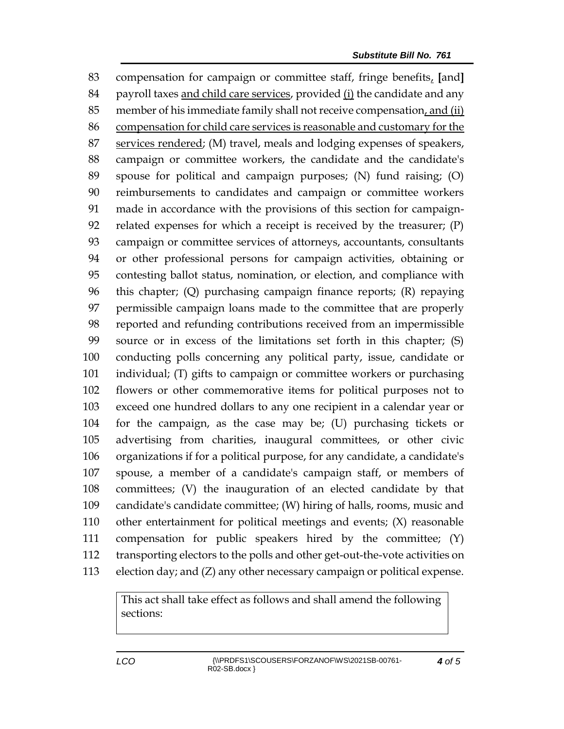compensation for campaign or committee staff, fringe benefits, **[**and**]** payroll taxes and child care services, provided (i) the candidate and any member of his immediate family shall not receive compensation, and (ii) compensation for child care services is reasonable and customary for the 87 services rendered; (M) travel, meals and lodging expenses of speakers, campaign or committee workers, the candidate and the candidate's spouse for political and campaign purposes; (N) fund raising; (O) reimbursements to candidates and campaign or committee workers made in accordance with the provisions of this section for campaign- related expenses for which a receipt is received by the treasurer; (P) campaign or committee services of attorneys, accountants, consultants or other professional persons for campaign activities, obtaining or contesting ballot status, nomination, or election, and compliance with this chapter; (Q) purchasing campaign finance reports; (R) repaying permissible campaign loans made to the committee that are properly reported and refunding contributions received from an impermissible source or in excess of the limitations set forth in this chapter; (S) conducting polls concerning any political party, issue, candidate or individual; (T) gifts to campaign or committee workers or purchasing flowers or other commemorative items for political purposes not to exceed one hundred dollars to any one recipient in a calendar year or for the campaign, as the case may be; (U) purchasing tickets or advertising from charities, inaugural committees, or other civic organizations if for a political purpose, for any candidate, a candidate's spouse, a member of a candidate's campaign staff, or members of committees; (V) the inauguration of an elected candidate by that candidate's candidate committee; (W) hiring of halls, rooms, music and other entertainment for political meetings and events; (X) reasonable compensation for public speakers hired by the committee; (Y) transporting electors to the polls and other get-out-the-vote activities on election day; and (Z) any other necessary campaign or political expense.

> This act shall take effect as follows and shall amend the following sections: